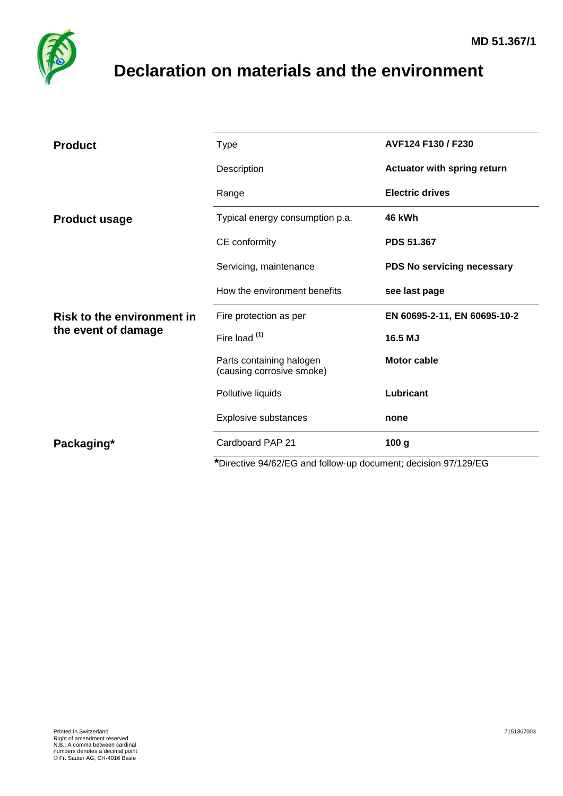

## <span id="page-0-0"></span>**Declaration on materials and the environment**

| <b>Product</b>                                           | <b>Type</b>                                           | AVF124 F130 / F230           |  |
|----------------------------------------------------------|-------------------------------------------------------|------------------------------|--|
|                                                          | Description                                           | Actuator with spring return  |  |
|                                                          | Range                                                 | <b>Electric drives</b>       |  |
| <b>Product usage</b>                                     | Typical energy consumption p.a.                       | 46 kWh                       |  |
|                                                          | CE conformity                                         | <b>PDS 51.367</b>            |  |
|                                                          | Servicing, maintenance                                | PDS No servicing necessary   |  |
|                                                          | How the environment benefits                          | see last page                |  |
| <b>Risk to the environment in</b><br>the event of damage | Fire protection as per                                | EN 60695-2-11, EN 60695-10-2 |  |
|                                                          | Fire load (1)                                         | 16.5 MJ                      |  |
|                                                          | Parts containing halogen<br>(causing corrosive smoke) | <b>Motor cable</b>           |  |
|                                                          | Pollutive liquids                                     | Lubricant                    |  |
|                                                          | Explosive substances                                  | none                         |  |
|                                                          |                                                       |                              |  |
| Packaging*                                               | Cardboard PAP 21                                      | 100 <sub>g</sub>             |  |

**\***Directive 94/62/EG and follow-up document; decision 97/129/EG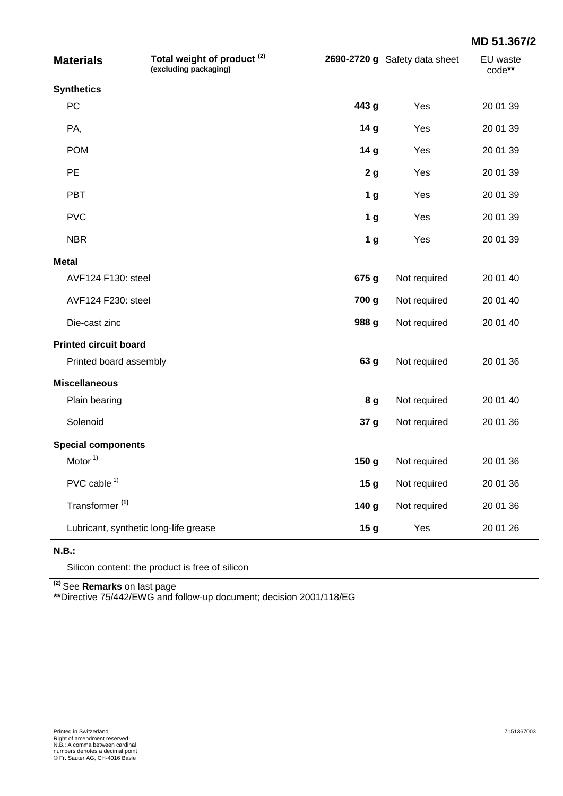|                              |                                                                 |                 |                               | MD 51.367/2               |
|------------------------------|-----------------------------------------------------------------|-----------------|-------------------------------|---------------------------|
| <b>Materials</b>             | Total weight of product <sup>(2)</sup><br>(excluding packaging) |                 | 2690-2720 g Safety data sheet | <b>EU</b> waste<br>code** |
| <b>Synthetics</b>            |                                                                 |                 |                               |                           |
| PC                           |                                                                 | 443 g           | Yes                           | 20 01 39                  |
| PA,                          |                                                                 | 14 g            | Yes                           | 20 01 39                  |
| <b>POM</b>                   |                                                                 | 14 g            | Yes                           | 20 01 39                  |
| <b>PE</b>                    |                                                                 | 2 <sub>g</sub>  | Yes                           | 20 01 39                  |
| <b>PBT</b>                   |                                                                 | 1 <sub>g</sub>  | Yes                           | 20 01 39                  |
| <b>PVC</b>                   |                                                                 | 1 <sub>g</sub>  | Yes                           | 20 01 39                  |
| <b>NBR</b>                   |                                                                 | 1 <sub>g</sub>  | Yes                           | 20 01 39                  |
| <b>Metal</b>                 |                                                                 |                 |                               |                           |
| AVF124 F130: steel           |                                                                 | 675 g           | Not required                  | 20 01 40                  |
| AVF124 F230: steel           |                                                                 | 700 g           | Not required                  | 20 01 40                  |
| Die-cast zinc                |                                                                 | 988 g           | Not required                  | 20 01 40                  |
| <b>Printed circuit board</b> |                                                                 |                 |                               |                           |
| Printed board assembly       |                                                                 | 63 g            | Not required                  | 20 01 36                  |
| <b>Miscellaneous</b>         |                                                                 |                 |                               |                           |
| Plain bearing                |                                                                 | 8 g             | Not required                  | 20 01 40                  |
| Solenoid                     |                                                                 | 37 g            | Not required                  | 20 01 36                  |
| <b>Special components</b>    |                                                                 |                 |                               |                           |
| Motor $1$                    |                                                                 | 150 g           | Not required                  | 20 01 36                  |
| $PVC$ cable $1$              |                                                                 | 15 <sub>g</sub> | Not required                  | 20 01 36                  |
| Transformer <sup>(1)</sup>   |                                                                 | 140 g           | Not required                  | 20 01 36                  |
|                              | Lubricant, synthetic long-life grease                           | 15 <sub>g</sub> | Yes                           | 20 01 26                  |

## **N.B.:**

Silicon content: the product is free of silicon

**(2)** See **Remarks** on last page

**\*\***Directive 75/442/EWG and follow-up document; decision 2001/118/EG